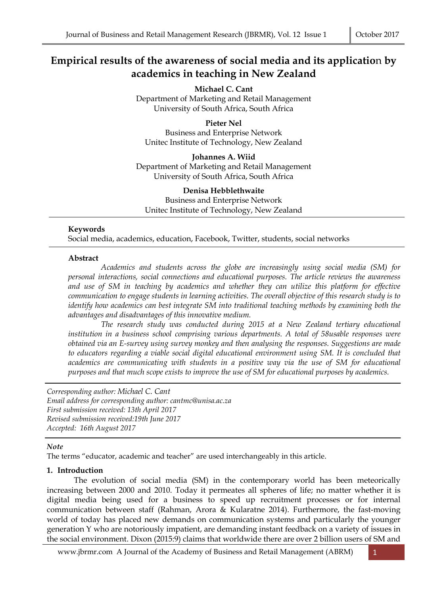# **Empirical results of the awareness of social media and its applicatio**n **by academics in teaching in New Zealand**

**Michael C. Cant**  Department of Marketing and Retail Management University of South Africa, South Africa

**Pieter Nel**  Business and Enterprise Network Unitec Institute of Technology, New Zealand

**Johannes A. Wiid**  Department of Marketing and Retail Management University of South Africa, South Africa

**Denisa Hebblethwaite**  Business and Enterprise Network Unitec Institute of Technology, New Zealand

## **Keywords**

Social media, academics, education, Facebook, Twitter, students, social networks

#### **Abstract**

 *Academics and students across the globe are increasingly using social media (SM) for personal interactions, social connections and educational purposes. The article reviews the awareness and use of SM in teaching by academics and whether they can utilize this platform for effective communication to engage students in learning activities. The overall objective of this research study is to identify how academics can best integrate SM into traditional teaching methods by examining both the advantages and disadvantages of this innovative medium.* 

 *The research study was conducted during 2015 at a New Zealand tertiary educational institution in a business school comprising various departments. A total of 58usable responses were obtained via an E-survey using survey monkey and then analysing the responses. Suggestions are made to educators regarding a viable social digital educational environment using SM. It is concluded that academics are communicating with students in a positive way via the use of SM for educational purposes and that much scope exists to improve the use of SM for educational purposes by academics.* 

*Corresponding author: Michael C. Cant Email address for corresponding author: cantmc@unisa.ac.za First submission received: 13th April 2017 Revised submission received:19th June 2017 Accepted: 16th August 2017*

## *Note*

The terms "educator, academic and teacher" are used interchangeably in this article.

## **1. Introduction**

 The evolution of social media (SM) in the contemporary world has been meteorically increasing between 2000 and 2010. Today it permeates all spheres of life; no matter whether it is digital media being used for a business to speed up recruitment processes or for internal communication between staff (Rahman, Arora & Kularatne 2014). Furthermore, the fast-moving world of today has placed new demands on communication systems and particularly the younger generation Y who are notoriously impatient, are demanding instant feedback on a variety of issues in the social environment. Dixon (2015:9) claims that worldwide there are over 2 billion users of SM and

www.jbrmr.com A Journal of the Academy of Business and Retail Management (ABRM) 1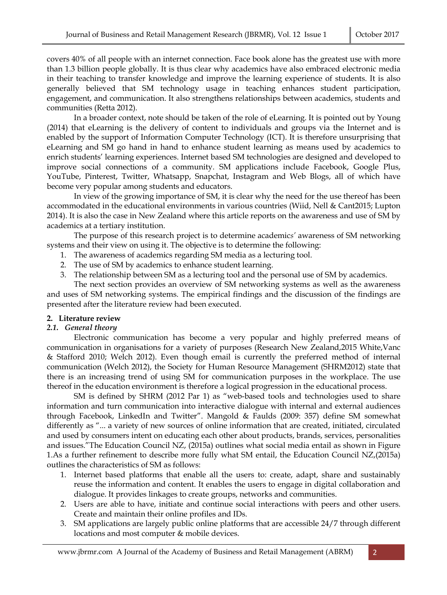covers 40% of all people with an internet connection. Face book alone has the greatest use with more than 1.3 billion people globally. It is thus clear why academics have also embraced electronic media in their teaching to transfer knowledge and improve the learning experience of students. It is also generally believed that SM technology usage in teaching enhances student participation, engagement, and communication. It also strengthens relationships between academics, students and communities (Retta 2012).

 In a broader context, note should be taken of the role of eLearning. It is pointed out by Young (2014) that eLearning is the delivery of content to individuals and groups via the Internet and is enabled by the support of Information Computer Technology (ICT). It is therefore unsurprising that eLearning and SM go hand in hand to enhance student learning as means used by academics to enrich students' learning experiences. Internet based SM technologies are designed and developed to improve social connections of a community. SM applications include Facebook, Google Plus, YouTube, Pinterest, Twitter, Whatsapp, Snapchat, Instagram and Web Blogs, all of which have become very popular among students and educators.

 In view of the growing importance of SM, it is clear why the need for the use thereof has been accommodated in the educational environments in various countries (Wiid, Nell & Cant2015; Lupton 2014). It is also the case in New Zealand where this article reports on the awareness and use of SM by academics at a tertiary institution.

 The purpose of this research project is to determine academic*s'* awareness of SM networking systems and their view on using it. The objective is to determine the following:

- 1. The awareness of academics regarding SM media as a lecturing tool.
- 2. The use of SM by academics to enhance student learning.
- 3. The relationship between SM as a lecturing tool and the personal use of SM by academics.

 The next section provides an overview of SM networking systems as well as the awareness and uses of SM networking systems. The empirical findings and the discussion of the findings are presented after the literature review had been executed.

## **2. Literature review**

## *2.1. General theory*

 Electronic communication has become a very popular and highly preferred means of communication in organisations for a variety of purposes (Research New Zealand,2015 White,Vanc & Stafford 2010; Welch 2012). Even though email is currently the preferred method of internal communication (Welch 2012), the Society for Human Resource Management (SHRM2012) state that there is an increasing trend of using SM for communication purposes in the workplace. The use thereof in the education environment is therefore a logical progression in the educational process.

 SM is defined by SHRM (2012 Par 1) as "web-based tools and technologies used to share information and turn communication into interactive dialogue with internal and external audiences through Facebook, LinkedIn and Twitter". Mangold & Faulds (2009: 357) define SM somewhat differently as "... a variety of new sources of online information that are created, initiated, circulated and used by consumers intent on educating each other about products, brands, services, personalities and issues."The Education Council NZ, (2015a) outlines what social media entail as shown in Figure 1.As a further refinement to describe more fully what SM entail, the Education Council NZ,(2015a) outlines the characteristics of SM as follows:

- 1. Internet based platforms that enable all the users to: create, adapt, share and sustainably reuse the information and content. It enables the users to engage in digital collaboration and dialogue. It provides linkages to create groups, networks and communities.
- 2. Users are able to have, initiate and continue social interactions with peers and other users. Create and maintain their online profiles and IDs.
- 3. SM applications are largely public online platforms that are accessible 24/7 through different locations and most computer & mobile devices.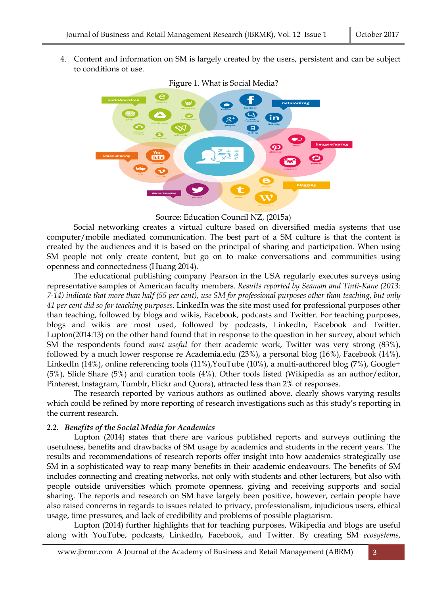4. Content and information on SM is largely created by the users, persistent and can be subject to conditions of use.



Figure 1. What is Social Media?

Source: Education Council NZ, (2015a)

 Social networking creates a virtual culture based on diversified media systems that use computer/mobile mediated communication. The best part of a SM culture is that the content is created by the audiences and it is based on the principal of sharing and participation. When using SM people not only create content, but go on to make conversations and communities using openness and connectedness (Huang 2014).

 The educational publishing company Pearson in the USA regularly executes surveys using representative samples of American faculty members. *Results reported by Seaman and Tinti-Kane (2013: 7-14) indicate that more than half (55 per cent), use SM for professional purposes other than teaching, but only 41 per cent did so for teaching purposes*. LinkedIn was the site most used for professional purposes other than teaching, followed by blogs and wikis, Facebook, podcasts and Twitter. For teaching purposes, blogs and wikis are most used, followed by podcasts, LinkedIn, Facebook and Twitter. Lupton(2014:13) on the other hand found that in response to the question in her survey, about which SM the respondents found *most useful* for their academic work, Twitter was very strong (83%), followed by a much lower response re Academia.edu (23%), a personal blog (16%), Facebook (14%), LinkedIn (14%), online referencing tools (11%),YouTube (10%), a multi-authored blog (7%), Google+ (5%), Slide Share (5%) and curation tools (4%). Other tools listed (Wikipedia as an author/editor, Pinterest, Instagram, Tumblr, Flickr and Quora), attracted less than 2% of responses.

 The research reported by various authors as outlined above, clearly shows varying results which could be refined by more reporting of research investigations such as this study's reporting in the current research.

## *2.2. Benefits of the Social Media for Academics*

 Lupton (2014) states that there are various published reports and surveys outlining the usefulness, benefits and drawbacks of SM usage by academics and students in the recent years. The results and recommendations of research reports offer insight into how academics strategically use SM in a sophisticated way to reap many benefits in their academic endeavours. The benefits of SM includes connecting and creating networks, not only with students and other lecturers, but also with people outside universities which promote openness, giving and receiving supports and social sharing. The reports and research on SM have largely been positive, however, certain people have also raised concerns in regards to issues related to privacy, professionalism, injudicious users, ethical usage, time pressures, and lack of credibility and problems of possible plagiarism.

 Lupton (2014) further highlights that for teaching purposes, Wikipedia and blogs are useful along with YouTube, podcasts, LinkedIn, Facebook, and Twitter. By creating SM *ecosystems*,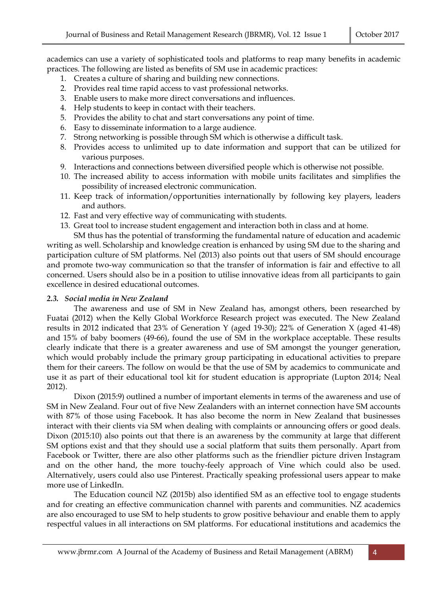academics can use a variety of sophisticated tools and platforms to reap many benefits in academic practices. The following are listed as benefits of SM use in academic practices:

- 1. Creates a culture of sharing and building new connections.
- 2. Provides real time rapid access to vast professional networks.
- 3. Enable users to make more direct conversations and influences.
- 4. Help students to keep in contact with their teachers.
- 5. Provides the ability to chat and start conversations any point of time.
- 6. Easy to disseminate information to a large audience.
- 7. Strong networking is possible through SM which is otherwise a difficult task.
- 8. Provides access to unlimited up to date information and support that can be utilized for various purposes.
- 9. Interactions and connections between diversified people which is otherwise not possible.
- 10. The increased ability to access information with mobile units facilitates and simplifies the possibility of increased electronic communication.
- 11. Keep track of information/opportunities internationally by following key players, leaders and authors.
- 12. Fast and very effective way of communicating with students.
- 13. Great tool to increase student engagement and interaction both in class and at home.

 SM thus has the potential of transforming the fundamental nature of education and academic writing as well. Scholarship and knowledge creation is enhanced by using SM due to the sharing and participation culture of SM platforms. Nel (2013) also points out that users of SM should encourage and promote two-way communication so that the transfer of information is fair and effective to all concerned. Users should also be in a position to utilise innovative ideas from all participants to gain excellence in desired educational outcomes.

## *2.3. Social media in New Zealand*

The awareness and use of SM in New Zealand has, amongst others, been researched by Fuatai (2012) when the Kelly Global Workforce Research project was executed. The New Zealand results in 2012 indicated that 23% of Generation Y (aged 19-30); 22% of Generation X (aged 41-48) and 15% of baby boomers (49-66), found the use of SM in the workplace acceptable. These results clearly indicate that there is a greater awareness and use of SM amongst the younger generation, which would probably include the primary group participating in educational activities to prepare them for their careers. The follow on would be that the use of SM by academics to communicate and use it as part of their educational tool kit for student education is appropriate (Lupton 2014; Neal 2012).

 Dixon (2015:9) outlined a number of important elements in terms of the awareness and use of SM in New Zealand. Four out of five New Zealanders with an internet connection have SM accounts with 87% of those using Facebook. It has also become the norm in New Zealand that businesses interact with their clients via SM when dealing with complaints or announcing offers or good deals. Dixon (2015:10) also points out that there is an awareness by the community at large that different SM options exist and that they should use a social platform that suits them personally. Apart from Facebook or Twitter, there are also other platforms such as the friendlier picture driven Instagram and on the other hand, the more touchy-feely approach of Vine which could also be used. Alternatively, users could also use Pinterest. Practically speaking professional users appear to make more use of LinkedIn.

 The Education council NZ (2015b) also identified SM as an effective tool to engage students and for creating an effective communication channel with parents and communities. NZ academics are also encouraged to use SM to help students to grow positive behaviour and enable them to apply respectful values in all interactions on SM platforms. For educational institutions and academics the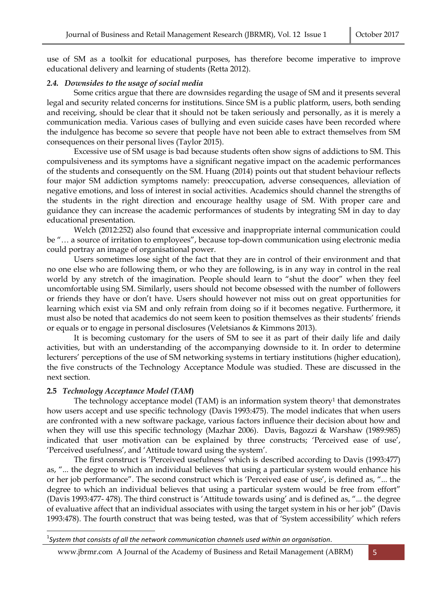use of SM as a toolkit for educational purposes, has therefore become imperative to improve educational delivery and learning of students (Retta 2012).

#### *2.4. Downsides to the usage of social media*

 Some critics argue that there are downsides regarding the usage of SM and it presents several legal and security related concerns for institutions. Since SM is a public platform, users, both sending and receiving, should be clear that it should not be taken seriously and personally, as it is merely a communication media. Various cases of bullying and even suicide cases have been recorded where the indulgence has become so severe that people have not been able to extract themselves from SM consequences on their personal lives (Taylor 2015).

 Excessive use of SM usage is bad because students often show signs of addictions to SM. This compulsiveness and its symptoms have a significant negative impact on the academic performances of the students and consequently on the SM. Huang (2014) points out that student behaviour reflects four major SM addiction symptoms namely: preoccupation, adverse consequences, alleviation of negative emotions, and loss of interest in social activities. Academics should channel the strengths of the students in the right direction and encourage healthy usage of SM. With proper care and guidance they can increase the academic performances of students by integrating SM in day to day educational presentation.

 Welch (2012:252) also found that excessive and inappropriate internal communication could be "… a source of irritation to employees", because top-down communication using electronic media could portray an image of organisational power.

 Users sometimes lose sight of the fact that they are in control of their environment and that no one else who are following them, or who they are following, is in any way in control in the real world by any stretch of the imagination. People should learn to "shut the door" when they feel uncomfortable using SM. Similarly, users should not become obsessed with the number of followers or friends they have or don't have. Users should however not miss out on great opportunities for learning which exist via SM and only refrain from doing so if it becomes negative. Furthermore, it must also be noted that academics do not seem keen to position themselves as their students' friends or equals or to engage in personal disclosures (Veletsianos & Kimmons 2013).

 It is becoming customary for the users of SM to see it as part of their daily life and daily activities, but with an understanding of the accompanying downside to it. In order to determine lecturers' perceptions of the use of SM networking systems in tertiary institutions (higher education), the five constructs of the Technology Acceptance Module was studied. These are discussed in the next section.

## **2.5** *Technology Acceptance Model (TAM***)**

 $\overline{a}$ 

The technology acceptance model  $(TAM)$  is an information system theory<sup>1</sup> that demonstrates how users accept and use specific technology (Davis 1993:475). The model indicates that when users are confronted with a new software package, various factors influence their decision about how and when they will use this specific technology (Mazhar 2006). Davis, Bagozzi & Warshaw (1989:985) indicated that user motivation can be explained by three constructs; 'Perceived ease of use', 'Perceived usefulness', and 'Attitude toward using the system'.

 The first construct is 'Perceived usefulness' which is described according to Davis (1993:477) as, "... the degree to which an individual believes that using a particular system would enhance his or her job performance". The second construct which is 'Perceived ease of use', is defined as, "... the degree to which an individual believes that using a particular system would be free from effort" (Davis 1993:477- 478). The third construct is 'Attitude towards using' and is defined as, "... the degree of evaluative affect that an individual associates with using the target system in his or her job" (Davis 1993:478). The fourth construct that was being tested, was that of 'System accessibility' which refers

www.jbrmr.com A Journal of the Academy of Business and Retail Management (ABRM) 5

<sup>1</sup> *System that consists of all the network communication channels used within an organisation*.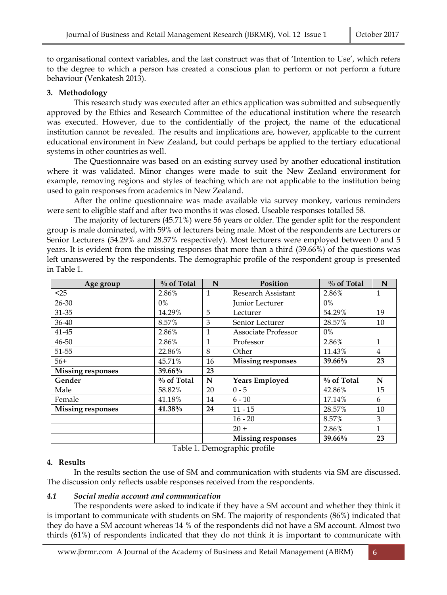to organisational context variables, and the last construct was that of 'Intention to Use', which refers to the degree to which a person has created a conscious plan to perform or not perform a future behaviour (Venkatesh 2013).

# **3. Methodology**

 This research study was executed after an ethics application was submitted and subsequently approved by the Ethics and Research Committee of the educational institution where the research was executed. However, due to the confidentially of the project, the name of the educational institution cannot be revealed. The results and implications are, however, applicable to the current educational environment in New Zealand, but could perhaps be applied to the tertiary educational systems in other countries as well.

 The Questionnaire was based on an existing survey used by another educational institution where it was validated. Minor changes were made to suit the New Zealand environment for example, removing regions and styles of teaching which are not applicable to the institution being used to gain responses from academics in New Zealand.

 After the online questionnaire was made available via survey monkey, various reminders were sent to eligible staff and after two months it was closed. Useable responses totalled 58.

 The majority of lecturers (45.71%) were 56 years or older. The gender split for the respondent group is male dominated, with 59% of lecturers being male. Most of the respondents are Lecturers or Senior Lecturers (54.29% and 28.57% respectively). Most lecturers were employed between 0 and 5 years. It is evident from the missing responses that more than a third (39.66%) of the questions was left unanswered by the respondents. The demographic profile of the respondent group is presented in Table 1.

| Age group                | $\%$ of Total | N            | Position                 | % of Total    | N            |
|--------------------------|---------------|--------------|--------------------------|---------------|--------------|
| $25$                     | 2.86%         | $\mathbf{1}$ | Research Assistant       | 2.86%         | 1            |
| $26 - 30$                | $0\%$         |              | Junior Lecturer          | 0%            |              |
| 31-35                    | 14.29%        | 5            | Lecturer                 | 54.29%        | 19           |
| 36-40                    | 8.57%         | 3            | Senior Lecturer          | 28.57%        | 10           |
| 41-45                    | 2.86%         | 1            | Associate Professor      | $0\%$         |              |
| 46-50                    | 2.86%         | $\mathbf{1}$ | Professor                | 2.86%         | $\mathbf{1}$ |
| 51-55                    | 22.86%        | 8            | Other                    | 11.43%        | 4            |
| $56+$                    | 45.71%        | 16           | <b>Missing responses</b> | $39.66\%$     | 23           |
| <b>Missing responses</b> | 39.66%        | 23           |                          |               |              |
| Gender                   | $\%$ of Total | N            | <b>Years Employed</b>    | $\%$ of Total | N            |
| Male                     | 58.82%        | 20           | $0 - 5$                  | 42.86%        | 15           |
| Female                   | 41.18%        | 14           | $6 - 10$                 | 17.14%        | 6            |
| <b>Missing responses</b> | 41.38%        | 24           | $11 - 15$                | 28.57%        | 10           |
|                          |               |              | $16 - 20$                | 8.57%         | 3            |
|                          |               |              | $20 +$                   | 2.86%         | $\mathbf{1}$ |
|                          |               |              | <b>Missing responses</b> | 39.66%        | 23           |

Table 1. Demographic profile

# **4. Results**

 In the results section the use of SM and communication with students via SM are discussed. The discussion only reflects usable responses received from the respondents.

# *4.1 Social media account and communication*

 The respondents were asked to indicate if they have a SM account and whether they think it is important to communicate with students on SM. The majority of respondents (86%) indicated that they do have a SM account whereas 14 % of the respondents did not have a SM account. Almost two thirds (61%) of respondents indicated that they do not think it is important to communicate with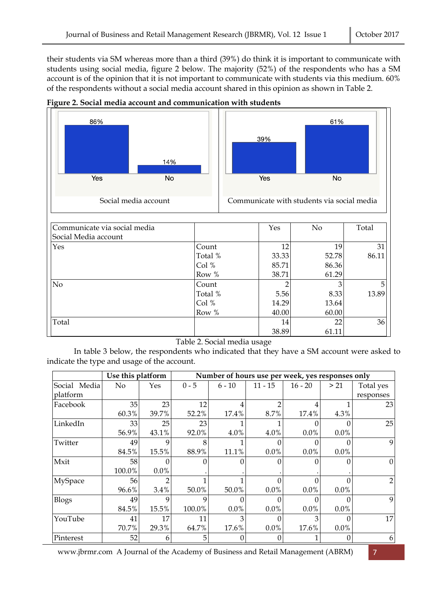their students via SM whereas more than a third (39%) do think it is important to communicate with students using social media, figure 2 below. The majority (52%) of the respondents who has a SM account is of the opinion that it is not important to communicate with students via this medium. 60% of the respondents without a social media account shared in this opinion as shown in Table 2.





Table 2. Social media usage

 In table 3 below, the respondents who indicated that they have a SM account were asked to indicate the type and usage of the account.

|              | Use this platform |             |         | Number of hours use per week, yes responses only |           |           |          |                |
|--------------|-------------------|-------------|---------|--------------------------------------------------|-----------|-----------|----------|----------------|
| Social Media | No                | Yes         | $0 - 5$ | $6 - 10$                                         | $11 - 15$ | $16 - 20$ | > 21     | Total yes      |
| platform     |                   |             |         |                                                  |           |           |          | responses      |
| Facebook     | 35                | 23          | 12      |                                                  |           |           |          | 23             |
|              | 60.3%             | 39.7%       | 52.2%   | 17.4%                                            | 8.7%      | 17.4%     | 4.3%     |                |
| LinkedIn     | 33                | 25          | 23      |                                                  |           |           |          | 25             |
|              | 56.9%             | 43.1%       | 92.0%   | 4.0%                                             | 4.0%      | 0.0%      | 0.0%     |                |
| Twitter      | 49                | $\mathbf Q$ |         |                                                  |           |           |          | 9              |
|              | 84.5%             | 15.5%       | 88.9%   | 11.1%                                            | 0.0%      | 0.0%      | 0.0%     |                |
| Mxit         | 58                | $\theta$    |         |                                                  |           | $\theta$  |          | $\overline{0}$ |
|              | 100.0%            | 0.0%        |         |                                                  |           |           |          |                |
| MySpace      | 56                |             |         |                                                  |           |           |          | 2              |
|              | 96.6%             | 3.4%        | 50.0%   | 50.0%                                            | 0.0%      | $0.0\%$   | $0.0\%$  |                |
| <b>Blogs</b> | 49                | 9           | 9       |                                                  |           |           |          | 9              |
|              | 84.5%             | 15.5%       | 100.0%  | 0.0%                                             | 0.0%      | $0.0\%$   | $0.0\%$  |                |
| YouTube      | 41                | 17          | 11      | 3                                                |           |           | 0        | 17             |
|              | 70.7%             | 29.3%       | 64.7%   | 17.6%                                            | $0.0\%$   | 17.6%     | $0.0\%$  |                |
| Pinterest    | 52                | 6           | 5       |                                                  | 0         |           | $\Omega$ | 6              |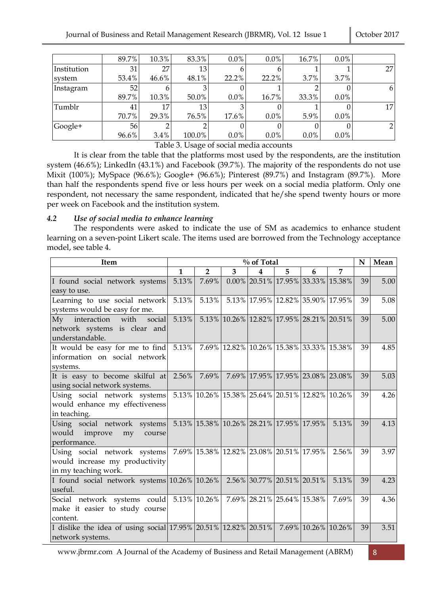|             | 89.7% | 10.3%    | 83.3%  | $0.0\%$ | $0.0\%$ | 16.7%   | $0.0\%$ |                |
|-------------|-------|----------|--------|---------|---------|---------|---------|----------------|
| Institution | 31    | 27       | 13     |         |         |         |         | 27             |
| system      | 53.4% | $46.6\%$ | 48.1%  | 22.2%   | 22.2%   | 3.7%    | 3.7%    |                |
| Instagram   | 52    |          |        |         |         |         |         | 6              |
|             | 89.7% | 10.3%    | 50.0%  | $0.0\%$ | 16.7%   | 33.3%   | $0.0\%$ |                |
| Tumblr      | 41    | 17       | 13     |         |         |         |         | 17             |
|             | 70.7% | 29.3%    | 76.5%  | 17.6%   | $0.0\%$ | 5.9%    | $0.0\%$ |                |
| Google+     | 56    |          |        |         |         |         |         | $\overline{2}$ |
|             | 96.6% | 3.4%     | 100.0% | $0.0\%$ | $0.0\%$ | $0.0\%$ | $0.0\%$ |                |

Table 3. Usage of social media accounts

 It is clear from the table that the platforms most used by the respondents, are the institution system (46.6%); LinkedIn (43.1%) and Facebook (39.7%). The majority of the respondents do not use Mixit (100%); MySpace (96.6%); Google+ (96.6%); Pinterest (89.7%) and Instagram (89.7%). More than half the respondents spend five or less hours per week on a social media platform. Only one respondent, not necessary the same respondent, indicated that he/she spend twenty hours or more per week on Facebook and the institution system.

## *4.2 Use of social media to enhance learning*

 The respondents were asked to indicate the use of SM as academics to enhance student learning on a seven-point Likert scale. The items used are borrowed from the Technology acceptance model, see table 4.

| <b>Item</b>                                                                        | % of Total   |                                                |                |                         |                                      |   |                                                 | N  | Mean |
|------------------------------------------------------------------------------------|--------------|------------------------------------------------|----------------|-------------------------|--------------------------------------|---|-------------------------------------------------|----|------|
|                                                                                    | $\mathbf{1}$ | $\overline{2}$                                 | $\overline{3}$ | $\overline{\mathbf{4}}$ | 5                                    | 6 | $\overline{7}$                                  |    |      |
| I found social network systems                                                     | 5.13%        | 7.69%                                          |                |                         | $0.00\%$ 20.51% 17.95% 33.33% 15.38% |   |                                                 | 39 | 5.00 |
| easy to use.                                                                       |              |                                                |                |                         |                                      |   |                                                 |    |      |
| Learning to use social network                                                     | 5.13%        | 5.13%                                          |                |                         | 5.13% 17.95% 12.82% 35.90% 17.95%    |   |                                                 | 39 | 5.08 |
| systems would be easy for me.                                                      |              |                                                |                |                         |                                      |   |                                                 |    |      |
| My interaction with<br>social                                                      |              | 5.13% 5.13% 10.26% 12.82% 17.95% 28.21% 20.51% |                |                         |                                      |   |                                                 | 39 | 5.00 |
| network systems is clear and                                                       |              |                                                |                |                         |                                      |   |                                                 |    |      |
| understandable.                                                                    |              |                                                |                |                         |                                      |   |                                                 |    |      |
| It would be easy for me to find                                                    | 5.13%        |                                                |                |                         |                                      |   | 7.69% 12.82% 10.26% 15.38% 33.33% 15.38%        | 39 | 4.85 |
| information on social network                                                      |              |                                                |                |                         |                                      |   |                                                 |    |      |
| systems.                                                                           |              |                                                |                |                         |                                      |   |                                                 |    |      |
| It is easy to become skilful at                                                    |              |                                                |                |                         |                                      |   | 2.56% 7.69% 7.69% 17.95% 17.95% 23.08% 23.08%   | 39 | 5.03 |
| using social network systems.                                                      |              |                                                |                |                         |                                      |   |                                                 |    |      |
| Using social network systems                                                       |              |                                                |                |                         |                                      |   | 5.13% 10.26% 15.38% 25.64% 20.51% 12.82% 10.26% | 39 | 4.26 |
| would enhance my effectiveness                                                     |              |                                                |                |                         |                                      |   |                                                 |    |      |
| in teaching.                                                                       |              |                                                |                |                         |                                      |   |                                                 |    |      |
| Using social network systems                                                       |              |                                                |                |                         |                                      |   | 5.13% 15.38% 10.26% 28.21% 17.95% 17.95% 5.13%  | 39 | 4.13 |
| would improve<br>my<br>course                                                      |              |                                                |                |                         |                                      |   |                                                 |    |      |
| performance.                                                                       |              |                                                |                |                         |                                      |   |                                                 |    |      |
| Using social network systems 7.69% 15.38% 12.82% 23.08% 20.51% 17.95%              |              |                                                |                |                         |                                      |   | 2.56%                                           | 39 | 3.97 |
| would increase my productivity                                                     |              |                                                |                |                         |                                      |   |                                                 |    |      |
| in my teaching work.                                                               |              |                                                |                |                         |                                      |   |                                                 |    |      |
| I found social network systems 10.26% 10.26% 2.56% 30.77% 20.51% 20.51%            |              |                                                |                |                         |                                      |   | 5.13%                                           | 39 | 4.23 |
| useful.                                                                            |              |                                                |                |                         |                                      |   |                                                 |    |      |
| Social network systems could 5.13% 10.26% 7.69% 28.21% 25.64% 15.38%               |              |                                                |                |                         |                                      |   | 7.69%                                           | 39 | 4.36 |
| make it easier to study course                                                     |              |                                                |                |                         |                                      |   |                                                 |    |      |
| content.                                                                           |              |                                                |                |                         |                                      |   |                                                 |    |      |
| I dislike the idea of using social 17.95% 20.51% 12.82% 20.51% 7.69% 10.26% 10.26% |              |                                                |                |                         |                                      |   |                                                 | 39 | 3.51 |
| network systems.                                                                   |              |                                                |                |                         |                                      |   |                                                 |    |      |

www.jbrmr.com A Journal of the Academy of Business and Retail Management (ABRM) 8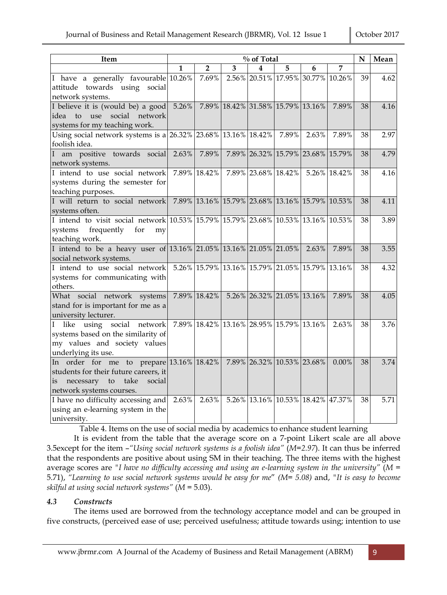| <b>Item</b>                                                                                                                                              | % of Total |                |   |                                          |       |                                                 | N        | Mean |      |
|----------------------------------------------------------------------------------------------------------------------------------------------------------|------------|----------------|---|------------------------------------------|-------|-------------------------------------------------|----------|------|------|
|                                                                                                                                                          | 1          | $\overline{2}$ | 3 | 4                                        | 5     | 6                                               | 7        |      |      |
| I have a generally favourable 10.26%<br>attitude towards using social<br>network systems.                                                                |            | 7.69%          |   |                                          |       | 2.56% 20.51% 17.95% 30.77% 10.26%               |          | 39   | 4.62 |
| I believe it is (would be) a good $ 5.26\% $<br>idea to use social network<br>systems for my teaching work.                                              |            |                |   | 7.89% 18.42% 31.58% 15.79% 13.16%        |       |                                                 | 7.89%    | 38   | 4.16 |
| Using social network systems is a 26.32% 23.68% 13.16% 18.42%<br>foolish idea.                                                                           |            |                |   |                                          | 7.89% | 2.63%                                           | 7.89%    | 38   | 2.97 |
| am positive towards social<br>network systems.                                                                                                           | 2.63%      | 7.89%          |   |                                          |       | 7.89% 26.32% 15.79% 23.68% 15.79%               |          | 38   | 4.79 |
| I intend to use social network<br>systems during the semester for<br>teaching purposes.                                                                  |            | 7.89% 18.42%   |   |                                          |       | 7.89% 23.68% 18.42% 5.26% 18.42%                |          | 38   | 4.16 |
| I will return to social network<br>systems often.                                                                                                        |            |                |   |                                          |       | 7.89% 13.16% 15.79% 23.68% 13.16% 15.79% 10.53% |          | 38   | 4.11 |
| I intend to visit social network 10.53% 15.79% 15.79% 23.68% 10.53% 13.16% 10.53%<br>systems<br>frequently<br>for<br>my<br>teaching work.                |            |                |   |                                          |       |                                                 |          | 38   | 3.89 |
| I intend to be a heavy user of 13.16% 21.05% 13.16% 21.05% 21.05% 2.63%<br>social network systems.                                                       |            |                |   |                                          |       |                                                 | 7.89%    | 38   | 3.55 |
| I intend to use social network<br>systems for communicating with<br>others.                                                                              |            |                |   |                                          |       | 5.26% 15.79% 13.16% 15.79% 21.05% 15.79% 13.16% |          | 38   | 4.32 |
| What social network systems<br>stand for is important for me as a<br>university lecturer.                                                                |            | 7.89% 18.42%   |   | 5.26% 26.32% 21.05% 13.16%               |       |                                                 | 7.89%    | 38   | 4.05 |
| like using social<br>network<br>T<br>systems based on the similarity of<br>my values and society values<br>underlying its use.                           |            |                |   | 7.89% 18.42% 13.16% 28.95% 15.79% 13.16% |       |                                                 | 2.63%    | 38   | 3.76 |
| In order for me to prepare $13.16\%$ 18.42%<br>students for their future careers, it<br>necessary to<br>social<br>take<br>is<br>network systems courses. |            |                |   | 7.89% 26.32% 10.53% 23.68%               |       |                                                 | $0.00\%$ | 38   | 3.74 |
| I have no difficulty accessing and 2.63%<br>using an e-learning system in the<br>university.                                                             |            | 2.63%          |   |                                          |       | 5.26% 13.16% 10.53% 18.42% 47.37%               |          | 38   | 5.71 |

Table 4. Items on the use of social media by academics to enhance student learning

 It is evident from the table that the average score on a 7-point Likert scale are all above 3.5except for the item –*"Using social network systems is a foolish idea"* (*M=2.97*). It can thus be inferred that the respondents are positive about using SM in their teaching. The three items with the highest average scores are *"I have no difficulty accessing and using an e-learning system in the university"* (*M* = 5.71), *"Learning to use social network systems would be easy for me*" *(M= 5.08)* and, *"It is easy to become skilful at using social network systems"* (*M* = 5.03).

## *4.3 Constructs*

 The items used are borrowed from the technology acceptance model and can be grouped in five constructs, (perceived ease of use; perceived usefulness; attitude towards using; intention to use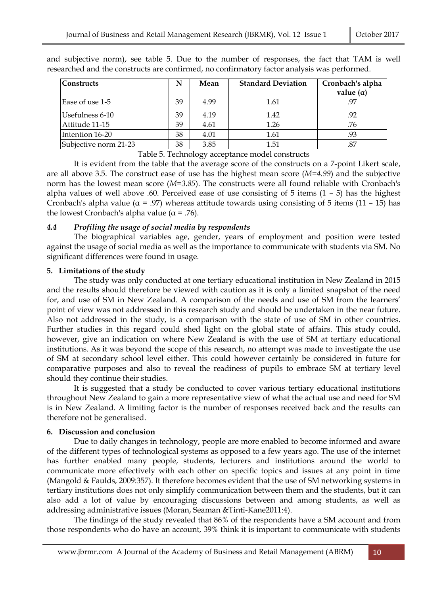| <b>Constructs</b>     | N  | Mean | <b>Standard Deviation</b> | Cronbach's alpha<br>value $(\alpha)$ |
|-----------------------|----|------|---------------------------|--------------------------------------|
| Ease of use 1-5       | 39 | 4.99 | 1.61                      |                                      |
| Usefulness 6-10       | 39 | 4.19 | 1.42                      | .92                                  |
| Attitude 11-15        | 39 | 4.61 | 1.26                      | .76                                  |
| Intention 16-20       | 38 | 4.01 | 1.61                      | .93                                  |
| Subjective norm 21-23 | 38 | 3.85 | 1.51                      | .87                                  |

and subjective norm), see table 5. Due to the number of responses, the fact that TAM is well researched and the constructs are confirmed, no confirmatory factor analysis was performed.

Table 5. Technology acceptance model constructs

 It is evident from the table that the average score of the constructs on a 7-point Likert scale, are all above 3.5. The construct ease of use has the highest mean score (*M=4.99*) and the subjective norm has the lowest mean score (*M=3.85*). The constructs were all found reliable with Cronbach's alpha values of well above .60. Perceived ease of use consisting of  $5$  items  $(1 - 5)$  has the highest Cronbach's alpha value ( $\alpha$  = .97) whereas attitude towards using consisting of 5 items (11 – 15) has the lowest Cronbach's alpha value ( $\alpha$  = .76).

#### *4.4 Profiling the usage of social media by respondents*

 The biographical variables age, gender, years of employment and position were tested against the usage of social media as well as the importance to communicate with students via SM. No significant differences were found in usage.

#### **5. Limitations of the study**

 The study was only conducted at one tertiary educational institution in New Zealand in 2015 and the results should therefore be viewed with caution as it is only a limited snapshot of the need for, and use of SM in New Zealand. A comparison of the needs and use of SM from the learners' point of view was not addressed in this research study and should be undertaken in the near future. Also not addressed in the study, is a comparison with the state of use of SM in other countries. Further studies in this regard could shed light on the global state of affairs. This study could, however, give an indication on where New Zealand is with the use of SM at tertiary educational institutions. As it was beyond the scope of this research, no attempt was made to investigate the use of SM at secondary school level either. This could however certainly be considered in future for comparative purposes and also to reveal the readiness of pupils to embrace SM at tertiary level should they continue their studies.

 It is suggested that a study be conducted to cover various tertiary educational institutions throughout New Zealand to gain a more representative view of what the actual use and need for SM is in New Zealand. A limiting factor is the number of responses received back and the results can therefore not be generalised.

## **6. Discussion and conclusion**

 Due to daily changes in technology, people are more enabled to become informed and aware of the different types of technological systems as opposed to a few years ago. The use of the internet has further enabled many people, students, lecturers and institutions around the world to communicate more effectively with each other on specific topics and issues at any point in time (Mangold & Faulds, 2009:357). It therefore becomes evident that the use of SM networking systems in tertiary institutions does not only simplify communication between them and the students, but it can also add a lot of value by encouraging discussions between and among students, as well as addressing administrative issues (Moran, Seaman &Tinti-Kane2011:4).

The findings of the study revealed that 86% of the respondents have a SM account and from those respondents who do have an account, 39% think it is important to communicate with students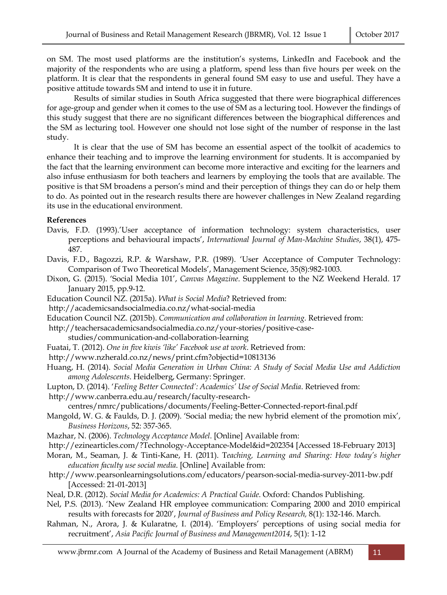on SM. The most used platforms are the institution's systems, LinkedIn and Facebook and the majority of the respondents who are using a platform, spend less than five hours per week on the platform. It is clear that the respondents in general found SM easy to use and useful. They have a positive attitude towards SM and intend to use it in future.

 Results of similar studies in South Africa suggested that there were biographical differences for age-group and gender when it comes to the use of SM as a lecturing tool. However the findings of this study suggest that there are no significant differences between the biographical differences and the SM as lecturing tool. However one should not lose sight of the number of response in the last study.

 It is clear that the use of SM has become an essential aspect of the toolkit of academics to enhance their teaching and to improve the learning environment for students. It is accompanied by the fact that the learning environment can become more interactive and exciting for the learners and also infuse enthusiasm for both teachers and learners by employing the tools that are available. The positive is that SM broadens a person's mind and their perception of things they can do or help them to do. As pointed out in the research results there are however challenges in New Zealand regarding its use in the educational environment.

#### **References**

- Davis, F.D. (1993).'User acceptance of information technology: system characteristics, user perceptions and behavioural impacts', *International Journal of Man-Machine Studies*, 38(1), 475- 487.
- Davis, F.D., Bagozzi, R.P. & Warshaw, P.R. (1989). 'User Acceptance of Computer Technology: Comparison of Two Theoretical Models', Management Science, 35(8):982-1003.
- Dixon, G. (2015). 'Social Media 101', *Canvas Magazine*. Supplement to the NZ Weekend Herald. 17 January 2015, pp.9-12.
- Education Council NZ. (2015a). *What is Social Media*? Retrieved from:
- http://academicsandsocialmedia.co.nz/what-social-media
- Education Council NZ. (2015b). *Communication and collaboration in learning.* Retrieved from:
- http://teachersacademicsandsocialmedia.co.nz/your-stories/positive-case
	- studies/communication-and-collaboration-learning
- Fuatai, T. (2012). *One in five kiwis 'like' Facebook use at work*. Retrieved from:
- http://www.nzherald.co.nz/news/print.cfm?objectid=10813136
- Huang, H. (2014). *Social Media Generation in Urban China: A Study of Social Media Use and Addiction among Adolescents*. Heidelberg, Germany: Springer.
- Lupton, D. (2014). '*Feeling Better Connected': Academics' Use of Social Media*. Retrieved from:
- http://www.canberra.edu.au/research/faculty-research-

centres/nmrc/publications/documents/Feeling-Better-Connected-report-final.pdf

- Mangold, W. G. & Faulds, D. J. (2009). 'Social media; the new hybrid element of the promotion mix', *Business Horizons*, 52: 357-365.
- Mazhar, N. (2006). *Technology Acceptance Model*. [Online] Available from:
- http://ezinearticles.com/?Technology-Acceptance-Model&id=202354 [Accessed 18-February 2013]
- Moran, M., Seaman, J. & Tinti-Kane, H. (2011). T*eaching, Learning and Sharing: How today's higher education faculty use social media*. [Online] Available from:
- http://www.pearsonlearningsolutions.com/educators/pearson-social-media-survey-2011-bw.pdf [Accessed: 21-01-2013]
- Neal, D.R. (2012). *Social Media for Academics: A Practical Guide*. Oxford: Chandos Publishing.
- Nel, P.S. (2013). 'New Zealand HR employee communication: Comparing 2000 and 2010 empirical results with forecasts for 2020', *Journal of Business and Policy Research,* 8(1): 132-146. March.
- Rahman, N., Arora, J. & Kularatne, I. (2014). 'Employers' perceptions of using social media for recruitment', *Asia Pacific Journal of Business and Management2014*, 5(1): 1-12